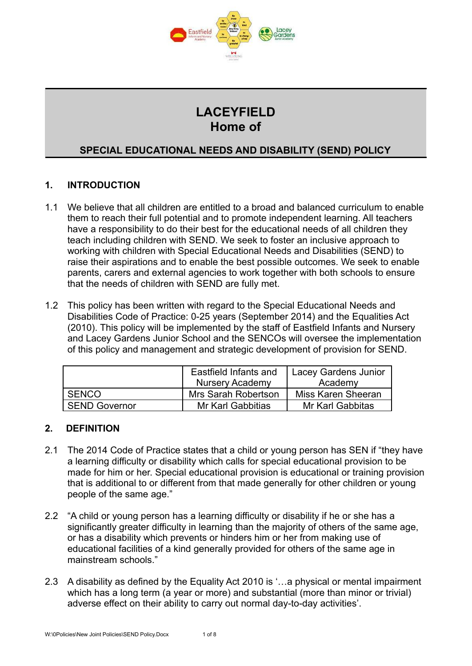

# **LACEYFIELD Home of**

# **SPECIAL EDUCATIONAL NEEDS AND DISABILITY (SEND) POLICY**

# **1. INTRODUCTION**

- 1.1 We believe that all children are entitled to a broad and balanced curriculum to enable them to reach their full potential and to promote independent learning. All teachers have a responsibility to do their best for the educational needs of all children they teach including children with SEND. We seek to foster an inclusive approach to working with children with Special Educational Needs and Disabilities (SEND) to raise their aspirations and to enable the best possible outcomes. We seek to enable parents, carers and external agencies to work together with both schools to ensure that the needs of children with SEND are fully met.
- 1.2 This policy has been written with regard to the Special Educational Needs and Disabilities Code of Practice: 0-25 years (September 2014) and the Equalities Act (2010). This policy will be implemented by the staff of Eastfield Infants and Nursery and Lacey Gardens Junior School and the SENCOs will oversee the implementation of this policy and management and strategic development of provision for SEND.

|                      | Eastfield Infants and    | <b>Lacey Gardens Junior</b> |
|----------------------|--------------------------|-----------------------------|
|                      | <b>Nursery Academy</b>   | Academy                     |
| <b>SENCO</b>         | Mrs Sarah Robertson      | Miss Karen Sheeran          |
| <b>SEND Governor</b> | <b>Mr Karl Gabbitias</b> | Mr Karl Gabbitas            |

#### **2. DEFINITION**

- 2.1 The 2014 Code of Practice states that a child or young person has SEN if "they have a learning difficulty or disability which calls for special educational provision to be made for him or her. Special educational provision is educational or training provision that is additional to or different from that made generally for other children or young people of the same age."
- 2.2 "A child or young person has a learning difficulty or disability if he or she has a significantly greater difficulty in learning than the majority of others of the same age, or has a disability which prevents or hinders him or her from making use of educational facilities of a kind generally provided for others of the same age in mainstream schools."
- 2.3 A disability as defined by the Equality Act 2010 is '…a physical or mental impairment which has a long term (a year or more) and substantial (more than minor or trivial) adverse effect on their ability to carry out normal day-to-day activities'.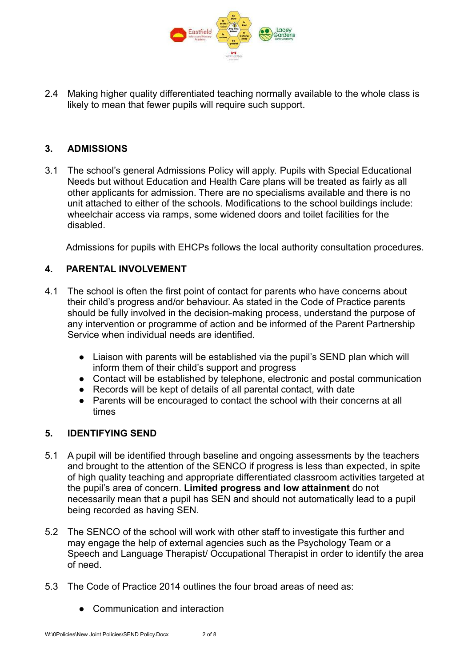

2.4 Making higher quality differentiated teaching normally available to the whole class is likely to mean that fewer pupils will require such support.

## **3. ADMISSIONS**

3.1 The school's general Admissions Policy will apply. Pupils with Special Educational Needs but without Education and Health Care plans will be treated as fairly as all other applicants for admission. There are no specialisms available and there is no unit attached to either of the schools. Modifications to the school buildings include: wheelchair access via ramps, some widened doors and toilet facilities for the disabled.

Admissions for pupils with EHCPs follows the local authority consultation procedures.

## **4. PARENTAL INVOLVEMENT**

- 4.1 The school is often the first point of contact for parents who have concerns about their child's progress and/or behaviour. As stated in the Code of Practice parents should be fully involved in the decision-making process, understand the purpose of any intervention or programme of action and be informed of the Parent Partnership Service when individual needs are identified.
	- Liaison with parents will be established via the pupil's SEND plan which will inform them of their child's support and progress
	- Contact will be established by telephone, electronic and postal communication
	- Records will be kept of details of all parental contact, with date
	- Parents will be encouraged to contact the school with their concerns at all times

#### **5. IDENTIFYING SEND**

- 5.1 A pupil will be identified through baseline and ongoing assessments by the teachers and brought to the attention of the SENCO if progress is less than expected, in spite of high quality teaching and appropriate differentiated classroom activities targeted at the pupil's area of concern. **Limited progress and low attainment** do not necessarily mean that a pupil has SEN and should not automatically lead to a pupil being recorded as having SEN.
- 5.2 The SENCO of the school will work with other staff to investigate this further and may engage the help of external agencies such as the Psychology Team or a Speech and Language Therapist/ Occupational Therapist in order to identify the area of need.
- 5.3 The Code of Practice 2014 outlines the four broad areas of need as:
	- Communication and interaction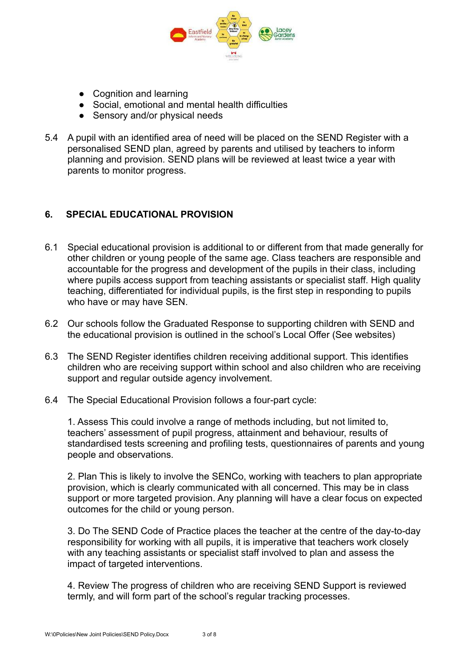

- Cognition and learning
- Social, emotional and mental health difficulties
- Sensory and/or physical needs
- 5.4 A pupil with an identified area of need will be placed on the SEND Register with a personalised SEND plan, agreed by parents and utilised by teachers to inform planning and provision. SEND plans will be reviewed at least twice a year with parents to monitor progress.

## **6. SPECIAL EDUCATIONAL PROVISION**

- 6.1 Special educational provision is additional to or different from that made generally for other children or young people of the same age. Class teachers are responsible and accountable for the progress and development of the pupils in their class, including where pupils access support from teaching assistants or specialist staff. High quality teaching, differentiated for individual pupils, is the first step in responding to pupils who have or may have SEN.
- 6.2 Our schools follow the Graduated Response to supporting children with SEND and the educational provision is outlined in the school's Local Offer (See websites)
- 6.3 The SEND Register identifies children receiving additional support. This identifies children who are receiving support within school and also children who are receiving support and regular outside agency involvement.
- 6.4 The Special Educational Provision follows a four-part cycle:

1. Assess This could involve a range of methods including, but not limited to, teachers' assessment of pupil progress, attainment and behaviour, results of standardised tests screening and profiling tests, questionnaires of parents and young people and observations.

2. Plan This is likely to involve the SENCo, working with teachers to plan appropriate provision, which is clearly communicated with all concerned. This may be in class support or more targeted provision. Any planning will have a clear focus on expected outcomes for the child or young person.

3. Do The SEND Code of Practice places the teacher at the centre of the day-to-day responsibility for working with all pupils, it is imperative that teachers work closely with any teaching assistants or specialist staff involved to plan and assess the impact of targeted interventions.

4. Review The progress of children who are receiving SEND Support is reviewed termly, and will form part of the school's regular tracking processes.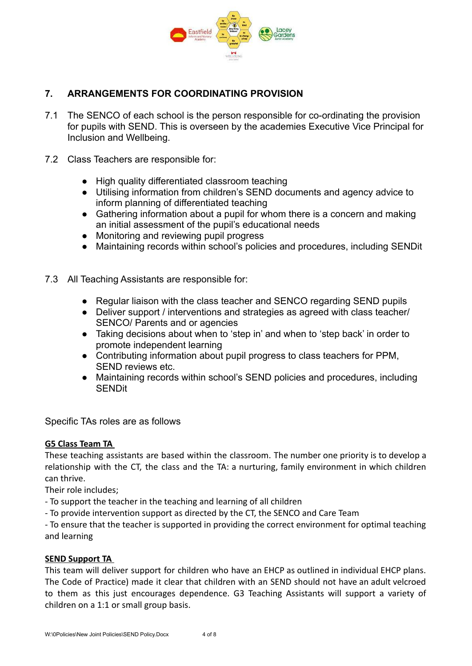

# **7. ARRANGEMENTS FOR COORDINATING PROVISION**

- 7.1 The SENCO of each school is the person responsible for co-ordinating the provision for pupils with SEND. This is overseen by the academies Executive Vice Principal for Inclusion and Wellbeing.
- 7.2 Class Teachers are responsible for:
	- High quality differentiated classroom teaching
	- Utilising information from children's SEND documents and agency advice to inform planning of differentiated teaching
	- Gathering information about a pupil for whom there is a concern and making an initial assessment of the pupil's educational needs
	- Monitoring and reviewing pupil progress
	- Maintaining records within school's policies and procedures, including SENDit
- 7.3 All Teaching Assistants are responsible for:
	- Regular liaison with the class teacher and SENCO regarding SEND pupils
	- Deliver support / interventions and strategies as agreed with class teacher/ SENCO/ Parents and or agencies
	- Taking decisions about when to 'step in' and when to 'step back' in order to promote independent learning
	- Contributing information about pupil progress to class teachers for PPM, SEND reviews etc.
	- Maintaining records within school's SEND policies and procedures, including **SENDit**

Specific TAs roles are as follows

#### **G5 Class Team TA**

These teaching assistants are based within the classroom. The number one priority is to develop a relationship with the CT, the class and the TA: a nurturing, family environment in which children can thrive.

Their role includes;

- To support the teacher in the teaching and learning of all children
- To provide intervention support as directed by the CT, the SENCO and Care Team

- To ensure that the teacher is supported in providing the correct environment for optimal teaching and learning

#### **SEND Support TA**

This team will deliver support for children who have an EHCP as outlined in individual EHCP plans. The Code of Practice) made it clear that children with an SEND should not have an adult velcroed to them as this just encourages dependence. G3 Teaching Assistants will support a variety of children on a 1:1 or small group basis.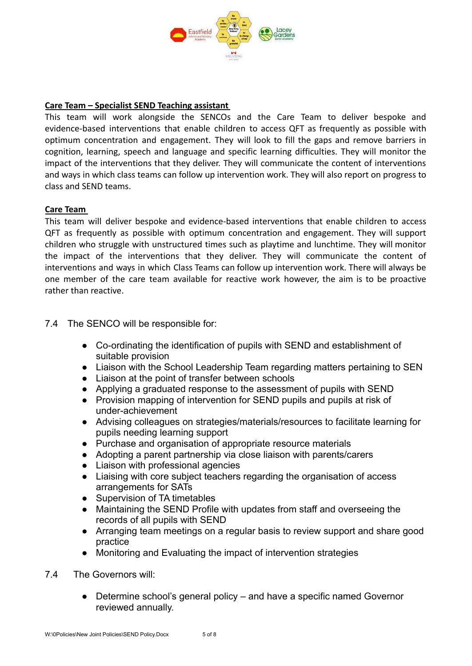

#### **Care Team – Specialist SEND Teaching assistant**

This team will work alongside the SENCOs and the Care Team to deliver bespoke and evidence-based interventions that enable children to access QFT as frequently as possible with optimum concentration and engagement. They will look to fill the gaps and remove barriers in cognition, learning, speech and language and specific learning difficulties. They will monitor the impact of the interventions that they deliver. They will communicate the content of interventions and ways in which class teams can follow up intervention work. They will also report on progress to class and SEND teams.

#### **Care Team**

This team will deliver bespoke and evidence-based interventions that enable children to access QFT as frequently as possible with optimum concentration and engagement. They will support children who struggle with unstructured times such as playtime and lunchtime. They will monitor the impact of the interventions that they deliver. They will communicate the content of interventions and ways in which Class Teams can follow up intervention work. There will always be one member of the care team available for reactive work however, the aim is to be proactive rather than reactive.

7.4 The SENCO will be responsible for:

- Co-ordinating the identification of pupils with SEND and establishment of suitable provision
- Liaison with the School Leadership Team regarding matters pertaining to SEN
- Liaison at the point of transfer between schools
- Applying a graduated response to the assessment of pupils with SEND
- Provision mapping of intervention for SEND pupils and pupils at risk of under-achievement
- Advising colleagues on strategies/materials/resources to facilitate learning for pupils needing learning support
- Purchase and organisation of appropriate resource materials
- Adopting a parent partnership via close liaison with parents/carers
- Liaison with professional agencies
- Liaising with core subject teachers regarding the organisation of access arrangements for SATs
- Supervision of TA timetables
- Maintaining the SEND Profile with updates from staff and overseeing the records of all pupils with SEND
- Arranging team meetings on a regular basis to review support and share good practice
- Monitoring and Evaluating the impact of intervention strategies
- 7.4 The Governors will:
	- Determine school's general policy and have a specific named Governor reviewed annually.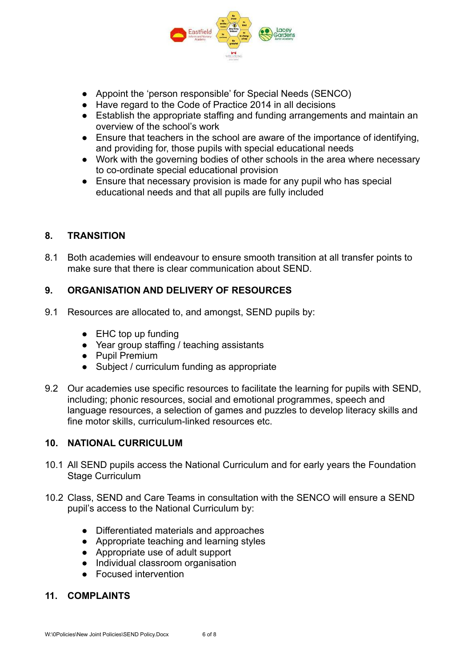

- Appoint the 'person responsible' for Special Needs (SENCO)
- Have regard to the Code of Practice 2014 in all decisions
- Establish the appropriate staffing and funding arrangements and maintain an overview of the school's work
- Ensure that teachers in the school are aware of the importance of identifying, and providing for, those pupils with special educational needs
- Work with the governing bodies of other schools in the area where necessary to co-ordinate special educational provision
- Ensure that necessary provision is made for any pupil who has special educational needs and that all pupils are fully included

## **8. TRANSITION**

8.1 Both academies will endeavour to ensure smooth transition at all transfer points to make sure that there is clear communication about SEND.

## **9. ORGANISATION AND DELIVERY OF RESOURCES**

- 9.1 Resources are allocated to, and amongst, SEND pupils by:
	- EHC top up funding
	- Year group staffing / teaching assistants
	- Pupil Premium
	- Subject / curriculum funding as appropriate
- 9.2 Our academies use specific resources to facilitate the learning for pupils with SEND, including; phonic resources, social and emotional programmes, speech and language resources, a selection of games and puzzles to develop literacy skills and fine motor skills, curriculum-linked resources etc.

#### **10. NATIONAL CURRICULUM**

- 10.1 All SEND pupils access the National Curriculum and for early years the Foundation Stage Curriculum
- 10.2 Class, SEND and Care Teams in consultation with the SENCO will ensure a SEND pupil's access to the National Curriculum by:
	- Differentiated materials and approaches
	- Appropriate teaching and learning styles
	- Appropriate use of adult support
	- Individual classroom organisation
	- Focused intervention

#### **11. COMPLAINTS**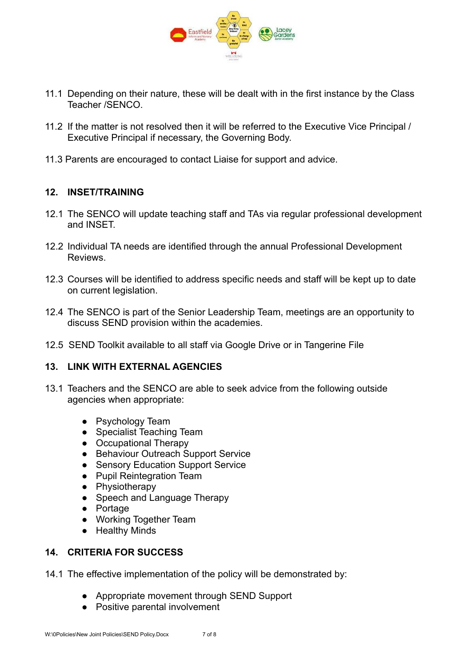

- 11.1 Depending on their nature, these will be dealt with in the first instance by the Class Teacher /SENCO.
- 11.2 If the matter is not resolved then it will be referred to the Executive Vice Principal / Executive Principal if necessary, the Governing Body.
- 11.3 Parents are encouraged to contact Liaise for support and advice.

# **12. INSET/TRAINING**

- 12.1 The SENCO will update teaching staff and TAs via regular professional development and INSET.
- 12.2 Individual TA needs are identified through the annual Professional Development **Reviews**
- 12.3 Courses will be identified to address specific needs and staff will be kept up to date on current legislation.
- 12.4 The SENCO is part of the Senior Leadership Team, meetings are an opportunity to discuss SEND provision within the academies.
- 12.5 SEND Toolkit available to all staff via Google Drive or in Tangerine File

#### **13. LINK WITH EXTERNAL AGENCIES**

- 13.1 Teachers and the SENCO are able to seek advice from the following outside agencies when appropriate:
	- Psychology Team
	- Specialist Teaching Team
	- Occupational Therapy
	- Behaviour Outreach Support Service
	- Sensory Education Support Service
	- Pupil Reintegration Team
	- Physiotherapy
	- Speech and Language Therapy
	- Portage
	- Working Together Team
	- Healthy Minds

# **14. CRITERIA FOR SUCCESS**

- 14.1 The effective implementation of the policy will be demonstrated by:
	- Appropriate movement through SEND Support
	- Positive parental involvement